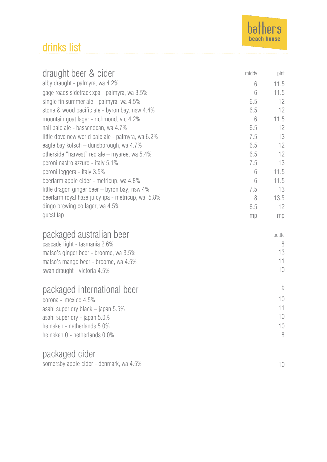## drinks list

| draught beer & cider                              | middy  | pint        |
|---------------------------------------------------|--------|-------------|
| alby draught - palmyra, wa 4.2%                   | 6      | 11.5        |
| gage roads sidetrack xpa - palmyra, wa 3.5%       | 6      | 11.5        |
| single fin summer ale - palmyra, wa 4.5%          | 6.5    | 12          |
| stone & wood pacific ale - byron bay, nsw 4.4%    | 6.5    | 12          |
| mountain goat lager - richmond, vic 4.2%          | 6      | 11.5        |
| nail pale ale - bassendean, wa 4.7%               | 6.5    | 12          |
| little dove new world pale ale - palmyra, wa 6.2% | 7.5    | 13          |
| eagle bay kolsch - dunsborough, wa 4.7%           | 6.5    | 12          |
| otherside "harvest" red ale - myaree, wa 5.4%     | 6.5    | 12          |
| peroni nastro azzuro - italy 5.1%                 | 7.5    | 13          |
| peroni leggera - italy 3.5%                       | 6      | 11.5        |
| beerfarm apple cider - metricup, wa 4.8%          | 6      | 11.5        |
| little dragon ginger beer – byron bay, nsw 4%     | 7.5    | 13          |
| beerfarm royal haze juicy ipa - metricup, wa 5.8% | $\, 8$ | 13.5        |
| dingo brewing co lager, wa 4.5%                   | 6.5    | 12          |
| guest tap                                         | mp     | mp          |
| packaged australian beer                          |        | bottle      |
| cascade light - tasmania 2.6%                     |        | 8           |
| matso's ginger beer - broome, wa 3.5%             |        | 13          |
| matso's mango beer - broome, wa 4.5%              |        | 11          |
| swan draught - victoria 4.5%                      |        | 10          |
|                                                   |        |             |
| packaged international beer                       |        | $\mathsf b$ |
| corona - mexico 4.5%                              |        | 10          |
| asahi super dry black - japan 5.5%                |        | 11          |
| asahi super dry - japan 5.0%                      |        | 10          |
| heineken - netherlands 5.0%                       |        | 10          |
| heineken 0 - netherlands 0.0%                     |        | 8           |
|                                                   |        |             |

## packaged cider

somersby apple cider - denmark, wa 4.5% 10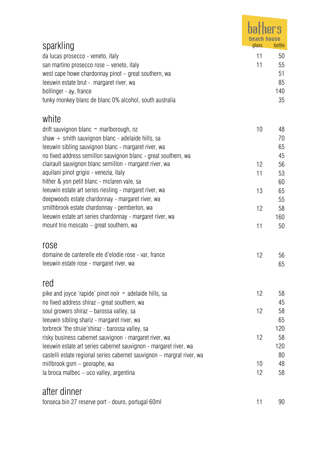|                                                                        | beach house |        |
|------------------------------------------------------------------------|-------------|--------|
| sparkling                                                              | glass       | bottle |
| da lucas prosecco - veneto, italy                                      | 11          | 50     |
| san martino prosecco rose - veneto, italy                              | 11          | 55     |
| west cape howe chardonnay pinot - great southern, wa                   |             | 51     |
| leeuwin estate brut - margaret river, wa                               |             | 85     |
| bollinger - ay, france                                                 |             | 140    |
| funky monkey blanc de blanc 0% alcohol, south australia                |             | 35     |
| white                                                                  |             |        |
| drift sauvignon blanc - marlborough, nz                                | 10          | 48     |
| shaw $+$ smith sauvignon blanc - adelaide hills, sa                    |             | 70     |
| leeuwin sibling sauvignon blanc - margaret river, wa                   |             | 65     |
| no fixed address semillon sauvignon blanc - great southern, wa         |             | 45     |
| clairault sauvignon blanc semillon - margaret river, wa                | 12          | 56     |
| aquilani pinot grigio - venezia, italy                                 | 11          | 53     |
| hither & yon petit blanc - mclaren vale, sa                            |             | 60     |
| leeuwin estate art series riesling - margaret river, wa                | 13          | 65     |
| deepwoods estate chardonnay - margaret river, wa                       |             | 55     |
| smithbrook estate chardonnay - pemberton, wa                           | 12          | 58     |
| leeuwin estate art series chardonnay - margaret river, wa              |             | 160    |
| mount trio moscato - great southern, wa                                | 11          | 50     |
| rose                                                                   |             |        |
| domaine de canterelle ete d'elodie rose - var, france                  | 12          | 56     |
| leeuwin estate rose - margaret river, wa                               |             | 65     |
| red                                                                    |             |        |
| pike and joyce 'rapide' pinot noir $-$ adelaide hills, sa              | 12          | 58     |
| no fixed address shiraz - great southern, wa                           |             | 45     |
| soul growers shiraz - barossa valley, sa                               | 12          | 58     |
| leeuwin sibling shariz - margaret river, wa                            |             | 65     |
| torbreck 'the struie'shiraz - barossa valley, sa                       |             | 120    |
| risky business cabernet sauvignon - margaret river, wa                 | 12          | 58     |
| leeuwin estate art series cabernet sauvignon - margaret river, wa      |             | 120    |
| castelli estate regional series cabernet sauvignon – margrat river, wa |             | 80     |
| millbrook gsm – georaphe, wa                                           | 10          | 48     |
| la broca malbec - uco valley, argentina                                | 12          | 58     |
| after dinner                                                           |             |        |
| fonseca bin 27 reserve port - douro, portugal 60ml                     | 11          | 90     |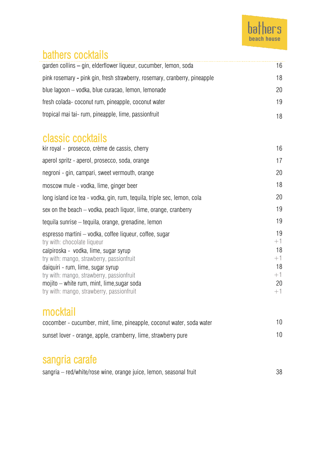# **bathers cocktails**

| garden collins – gin, elderflower liqueur, cucumber, lemon, soda           | 16. |
|----------------------------------------------------------------------------|-----|
| pink rosemary - pink gin, fresh strawberry, rosemary, cranberry, pineapple | 18. |
| blue lagoon – vodka, blue curacao, lemon, lemonade                         | 20. |
| fresh colada- coconut rum, pineapple, coconut water                        | 19  |
| tropical mai tai-rum, pineapple, lime, passionfruit                        |     |

### classic cocktails

| kir royal - prosecco, crème de cassis, cherry                                                                                                                                                                                                                                                                                                             | 16                                                   |
|-----------------------------------------------------------------------------------------------------------------------------------------------------------------------------------------------------------------------------------------------------------------------------------------------------------------------------------------------------------|------------------------------------------------------|
| aperol spritz - aperol, prosecco, soda, orange                                                                                                                                                                                                                                                                                                            | 17                                                   |
| negroni - gin, campari, sweet vermouth, orange                                                                                                                                                                                                                                                                                                            | 20                                                   |
| moscow mule - vodka, lime, ginger beer                                                                                                                                                                                                                                                                                                                    | 18                                                   |
| long island ice tea - vodka, gin, rum, tequila, triple sec, lemon, cola                                                                                                                                                                                                                                                                                   | 20                                                   |
| sex on the beach – vodka, peach liquor, lime, orange, cranberry                                                                                                                                                                                                                                                                                           | 19                                                   |
| tequila sunrise – tequila, orange, grenadine, lemon                                                                                                                                                                                                                                                                                                       | 19                                                   |
| espresso martini – vodka, coffee liqueur, coffee, sugar<br>try with: chocolate liqueur<br>caïpiroska - vodka, lime, sugar syrup<br>try with: mango, strawberry, passionfruit<br>daiquiri - rum, lime, sugar syrup<br>try with: mango, strawberry, passionfruit<br>mojito – white rum, mint, lime, sugar soda<br>try with: mango, strawberry, passionfruit | 19<br>$+1$<br>18<br>$+1$<br>18<br>$+1$<br>20<br>$+1$ |
|                                                                                                                                                                                                                                                                                                                                                           |                                                      |

### mocktail

| cocomber - cucumber, mint, lime, pineapple, coconut water, soda water | 10 |
|-----------------------------------------------------------------------|----|
| sunset lover - orange, apple, cramberry, lime, strawberry pure        | 10 |

### sangria carafe

|  | sangria – red/white/rose wine, orange juice, lemon, seasonal fruit | 38 |
|--|--------------------------------------------------------------------|----|
|  |                                                                    |    |